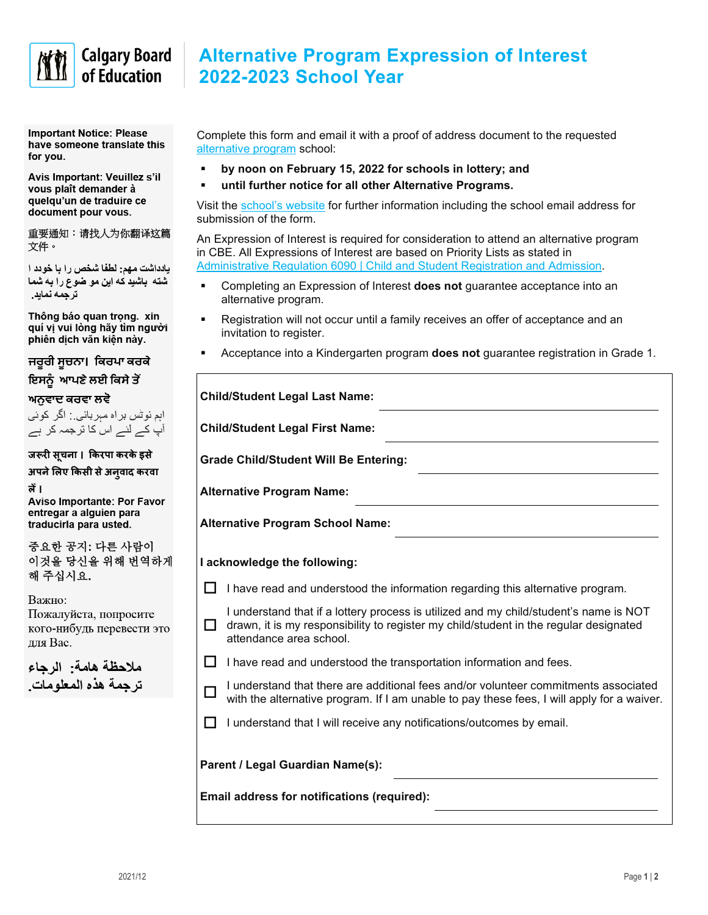

## **Calgary Board** of Education

**Important Notice: Please** have someone translate this for you.

Avis Important: Veuillez s'il vous plaît demander à quelqu'un de traduire ce document pour vous.

重要通知:请找人为你翻译这篇 文件。

يادداشت مهم: لطفًا شخص را با خودد ا شته باشید که این مو ضوع را به شما تر جمه نماید.

Thông báo quan trọng. xin quí vị vui lòng hãy tìm người phiên dịch văn kiến này.

ਜਰੂਰੀ ਸੂਚਨਾ। ਕਿਰਪਾ ਕਰਕੇ ਇਸਨੂੰ ਆਪਣੇ ਲਈ ਕਿਸੇ ਤੋਂ

ਅਨਵਾਦ ਕਰਵਾ ਲਵੋ

اہم نوٹس براہ مبربانی : اگر کوئی آپ کے لئے اس کا ترجمہ کر ہے

जरूरी सूचना। किरपा करके इसे अपने लिए किसी से अन् वाद करवा

त्नें ।

**Aviso Importante: Por Favor** entregar a alguien para traducirla para usted.

중요한 공지 다른 사람이 이것을 당신을 위해 번역하게 해 주십시요.

Важно:

Пожалуйста, попросите кого-нибудь перевести это для Вас.

ملاحظة هامة: الرجاء تر جمة هذه المعلومات

| <b>Alternative Program Expression of Interest</b> |  |
|---------------------------------------------------|--|
| 2022-2023 School Year                             |  |

Complete this form and email it with a proof of address document to the requested [alternative program](https://www.cbe.ab.ca/programs/program-options/Pages/default.aspx) school:

- **by noon on February 15, 2022 for schools in lottery; and**
- **until further notice for all other Alternative Programs.**

Visit the [school's website](https://www.cbe.ab.ca/schools/school-directory/Pages/default.aspx) for further information including the school email address for submission of the form.

An Expression of Interest is required for consideration to attend an alternative program in CBE. All Expressions of Interest are based on Priority Lists as stated in [Administrative Regulation 6090 | Child and Student Registration and Admission.](https://www.cbe.ab.ca/GovernancePolicies/AR6090.pdf)

- Completing an Expression of Interest **does not** guarantee acceptance into an alternative program.
- Registration will not occur until a family receives an offer of acceptance and an invitation to register.
- Acceptance into a Kindergarten program **does not** guarantee registration in Grade 1.

| <b>Child/Student Legal Last Name:</b>        |                                                                                                                                                                                                           |  |  |
|----------------------------------------------|-----------------------------------------------------------------------------------------------------------------------------------------------------------------------------------------------------------|--|--|
| <b>Child/Student Legal First Name:</b>       |                                                                                                                                                                                                           |  |  |
| <b>Grade Child/Student Will Be Entering:</b> |                                                                                                                                                                                                           |  |  |
| <b>Alternative Program Name:</b>             |                                                                                                                                                                                                           |  |  |
| <b>Alternative Program School Name:</b>      |                                                                                                                                                                                                           |  |  |
| I acknowledge the following:                 |                                                                                                                                                                                                           |  |  |
|                                              | I have read and understood the information regarding this alternative program.                                                                                                                            |  |  |
| l I                                          | I understand that if a lottery process is utilized and my child/student's name is NOT<br>drawn, it is my responsibility to register my child/student in the regular designated<br>attendance area school. |  |  |
| l I                                          | I have read and understood the transportation information and fees.                                                                                                                                       |  |  |
|                                              | I understand that there are additional fees and/or volunteer commitments associated<br>with the alternative program. If I am unable to pay these fees, I will apply for a waiver.                         |  |  |
| ΙI                                           | I understand that I will receive any notifications/outcomes by email.                                                                                                                                     |  |  |
|                                              | Parent / Legal Guardian Name(s):                                                                                                                                                                          |  |  |
| Email address for notifications (required):  |                                                                                                                                                                                                           |  |  |